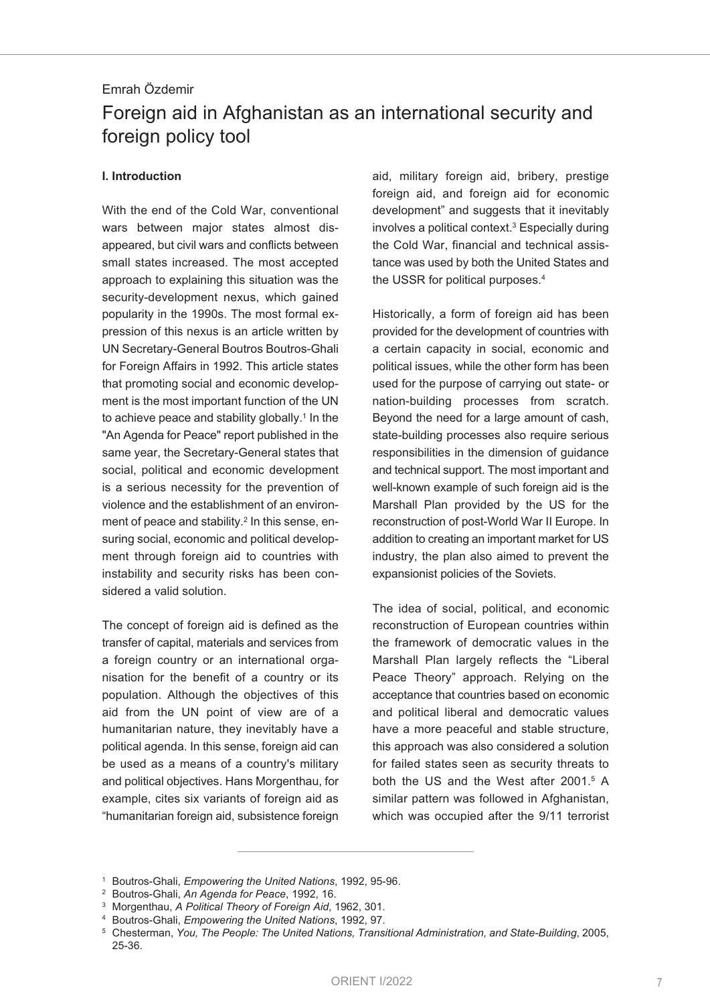# Emrah Özdemir Foreign aid in Afghanistan as an international security and foreign policy tool

#### **I. Introduction**

With the end of the Cold War, conventional wars between major states almost disappeared, but civil wars and conflicts between small states increased. The most accepted approach to explaining this situation was the security-development nexus, which gained popularity in the 1990s. The most formal expression of this nexus is an article written by UN Secretary-General Boutros Boutros-Ghali for Foreign Affairs in 1992. This article states that promoting social and economic development is the most important function of the UN to achieve peace and stability globally. <sup>1</sup> In the "An Agenda for Peace" report published in the same year, the Secretary-General states that social, political and economic development is a serious necessity for the prevention of violence and the establishment of an environment of peace and stability. <sup>2</sup> In this sense, ensuring social, economic and political development through foreign aid to countries with instability and security risks has been considered a valid solution.

The concept of foreign aid is defined as the transfer of capital, materials and services from a foreign country or an international organisation for the benefit of a country or its population. Although the objectives of this aid from the UN point of view are of a humanitarian nature, they inevitably have a political agenda. In this sense, foreign aid can be used as a means of a country's military and political objectives. Hans Morgenthau, for example, cites six variants of foreign aid as "humanitarian foreign aid, subsistence foreign aid, military foreign aid, bribery, prestige foreign aid, and foreign aid for economic development" and suggests that it inevitably involves a political context. <sup>3</sup> Especially during the Cold War, financial and technical assistance was used by both the United States and the USSR for political purposes. 4

Historically, a form of foreign aid has been provided for the development of countries with a certain capacity in social, economic and political issues, while the other form has been used for the purpose of carrying out state- or nation-building processes from scratch. Beyond the need for a large amount of cash, state-building processes also require serious responsibilities in the dimension of guidance and technical support. The most important and well-known example of such foreign aid is the Marshall Plan provided by the US for the reconstruction of post-World War II Europe. In addition to creating an important market for US industry, the plan also aimed to prevent the expansionist policies of the Soviets.

The idea of social, political, and economic reconstruction of European countries within the framework of democratic values in the Marshall Plan largely reflects the "Liberal Peace Theory" approach. Relying on the acceptance that countries based on economic and political liberal and democratic values have a more peaceful and stable structure, this approach was also considered a solution for failed states seen as security threats to both the US and the West after 2001. <sup>5</sup> A similar pattern was followed in Afghanistan, which was occupied after the 9/11 terrorist

<sup>1</sup> Boutros-Ghali, *Empowering the United Nations*, 1992, 95-96.

<sup>2</sup> Boutros-Ghali, *An Agenda for Peace*, 1992, 16.

<sup>3</sup> Morgenthau, *A Political Theory of Foreign Aid*, 1962, 301.

<sup>4</sup> Boutros-Ghali, *Empowering the United Nations*, 1992, 97.

<sup>5</sup> Chesterman, *You, The People: The United Nations, Transitional Administration, and State-Building*, 2005, 25-36.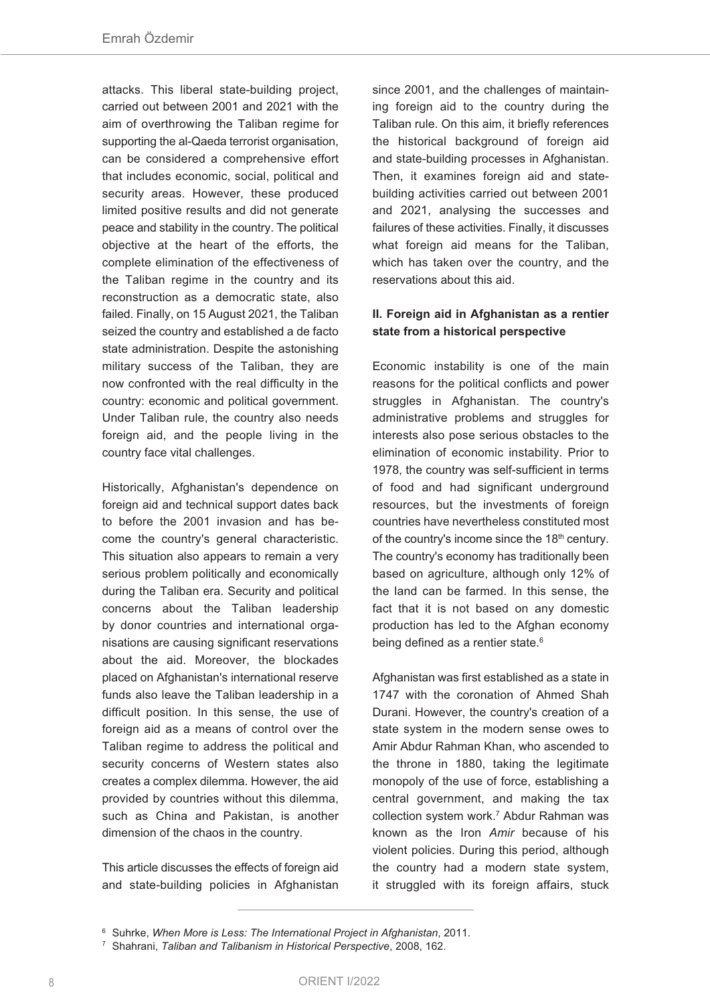attacks. This liberal state-building project, carried out between 2001 and 2021 with the aim of overthrowing the Taliban regime for supporting the al-Qaeda terrorist organisation, can be considered a comprehensive effort that includes economic, social, political and security areas. However, these produced limited positive results and did not generate peace and stability in the country. The political objective at the heart of the efforts, the complete elimination of the effectiveness of the Taliban regime in the country and its reconstruction as a democratic state, also failed. Finally, on 15 August 2021, the Taliban seized the country and established a de facto state administration. Despite the astonishing military success of the Taliban, they are now confronted with the real difficulty in the country: economic and political government. Under Taliban rule, the country also needs foreign aid, and the people living in the country face vital challenges.

Historically, Afghanistan's dependence on foreign aid and technical support dates back to before the 2001 invasion and has become the country's general characteristic. This situation also appears to remain a very serious problem politically and economically during the Taliban era. Security and political concerns about the Taliban leadership by donor countries and international organisations are causing significant reservations about the aid. Moreover, the blockades placed on Afghanistan's international reserve funds also leave the Taliban leadership in a difficult position. In this sense, the use of foreign aid as a means of control over the Taliban regime to address the political and security concerns of Western states also creates a complex dilemma. However, the aid provided by countries without this dilemma, such as China and Pakistan, is another dimension of the chaos in the country.

This article discusses the effects of foreign aid and state-building policies in Afghanistan since 2001, and the challenges of maintaining foreign aid to the country during the Taliban rule. On this aim, it briefly references the historical background of foreign aid and state-building processes in Afghanistan. Then, it examines foreign aid and statebuilding activities carried out between 2001 and 2021, analysing the successes and failures of these activities. Finally, it discusses what foreign aid means for the Taliban, which has taken over the country, and the reservations about this aid.

### **II. Foreign aid in Afghanistan as a rentier state from a historical perspective**

Economic instability is one of the main reasons for the political conflicts and power struggles in Afghanistan. The country's administrative problems and struggles for interests also pose serious obstacles to the elimination of economic instability. Prior to 1978, the country was self-sufficient in terms of food and had significant underground resources, but the investments of foreign countries have nevertheless constituted most of the country's income since the 18<sup>th</sup> century. The country's economy has traditionally been based on agriculture, although only 12% of the land can be farmed. In this sense, the fact that it is not based on any domestic production has led to the Afghan economy being defined as a rentier state.<sup>6</sup>

Afghanistan was first established as a state in 1747 with the coronation of Ahmed Shah Durani. However, the country's creation of a state system in the modern sense owes to Amir Abdur Rahman Khan, who ascended to the throne in 1880, taking the legitimate monopoly of the use of force, establishing a central government, and making the tax collection system work. <sup>7</sup> Abdur Rahman was known as the Iron *Amir* because of his violent policies. During this period, although the country had a modern state system, it struggled with its foreign affairs, stuck

<sup>6</sup> Suhrke, *When More is Less: The International Project in Afghanistan*, 2011.

<sup>7</sup> Shahrani, *Taliban and Talibanism in Historical Perspective*, 2008, 162.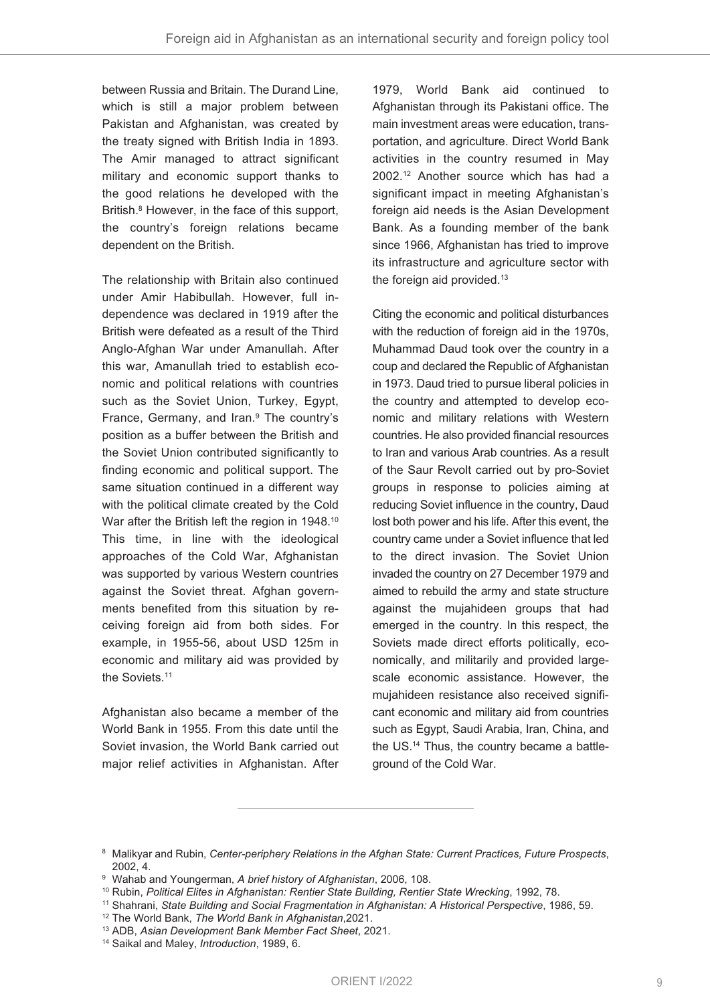between Russia and Britain. The Durand Line, which is still a major problem between Pakistan and Afghanistan, was created by the treaty signed with British India in 1893. The Amir managed to attract significant military and economic support thanks to the good relations he developed with the British. <sup>8</sup> However, in the face of this support, the country's foreign relations became dependent on the British.

The relationship with Britain also continued under Amir Habibullah. However, full independence was declared in 1919 after the British were defeated as a result of the Third Anglo-Afghan War under Amanullah. After this war, Amanullah tried to establish economic and political relations with countries such as the Soviet Union, Turkey, Egypt, France, Germany, and Iran. <sup>9</sup> The country's position as a buffer between the British and the Soviet Union contributed significantly to finding economic and political support. The same situation continued in a different way with the political climate created by the Cold War after the British left the region in 1948. $^{10}$ This time, in line with the ideological approaches of the Cold War, Afghanistan was supported by various Western countries against the Soviet threat. Afghan governments benefited from this situation by receiving foreign aid from both sides. For example, in 1955-56, about USD 125m in economic and military aid was provided by the Soviets. 11

Afghanistan also became a member of the World Bank in 1955. From this date until the Soviet invasion, the World Bank carried out major relief activities in Afghanistan. After

1979, World Bank aid continued to Afghanistan through its Pakistani office. The main investment areas were education, transportation, and agriculture. Direct World Bank activities in the country resumed in May 2002. <sup>12</sup> Another source which has had a significant impact in meeting Afghanistan's foreign aid needs is the Asian Development Bank. As a founding member of the bank since 1966, Afghanistan has tried to improve its infrastructure and agriculture sector with the foreign aid provided.<sup>13</sup>

Citing the economic and political disturbances with the reduction of foreign aid in the 1970s, Muhammad Daud took over the country in a coup and declared the Republic of Afghanistan in 1973. Daud tried to pursue liberal policies in the country and attempted to develop economic and military relations with Western countries. He also provided financial resources to Iran and various Arab countries. As a result of the Saur Revolt carried out by pro-Soviet groups in response to policies aiming at reducing Soviet influence in the country, Daud lost both power and his life. After this event, the country came under a Soviet influence that led to the direct invasion. The Soviet Union invaded the country on 27 December 1979 and aimed to rebuild the army and state structure against the mujahideen groups that had emerged in the country. In this respect, the Soviets made direct efforts politically, economically, and militarily and provided largescale economic assistance. However, the mujahideen resistance also received significant economic and military aid from countries such as Egypt, Saudi Arabia, Iran, China, and the US. <sup>14</sup> Thus, the country became a battleground of the Cold War.

<sup>8</sup> Malikyar and Rubin, *Center-periphery Relations in the Afghan State: Current Practices, Future Prospects*, 2002, 4.

<sup>9</sup> Wahab and Youngerman, *A brief history of Afghanistan*, 2006, 108.

<sup>10</sup> Rubin, *Political Elites in Afghanistan: Rentier State Building, Rentier State Wrecking*, 1992, 78.

<sup>11</sup> Shahrani, *State Building and Social Fragmentation in Afghanistan: A Historical Perspective*, 1986, 59.

<sup>12</sup> The World Bank, *The World Bank in Afghanistan*,2021.

<sup>13</sup> ADB, *Asian Development Bank Member Fact Sheet*, 2021.

<sup>14</sup> Saikal and Maley, *Introduction*, 1989, 6.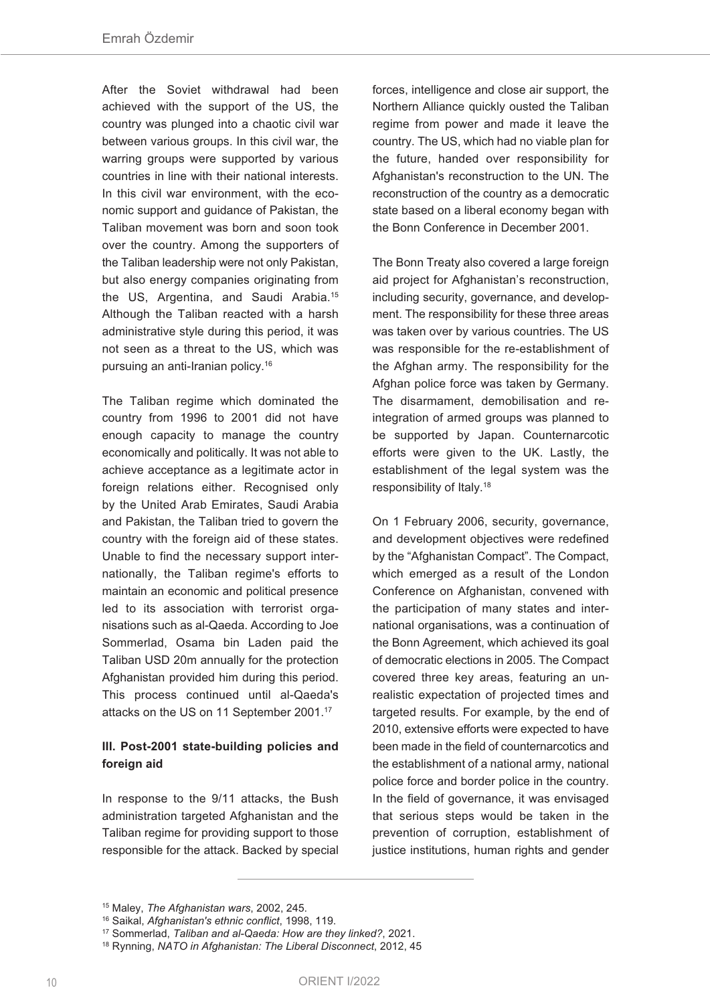After the Soviet withdrawal had been achieved with the support of the US, the country was plunged into a chaotic civil war between various groups. In this civil war, the warring groups were supported by various countries in line with their national interests. In this civil war environment, with the economic support and guidance of Pakistan, the Taliban movement was born and soon took over the country. Among the supporters of the Taliban leadership were not only Pakistan, but also energy companies originating from the US, Argentina, and Saudi Arabia. 15 Although the Taliban reacted with a harsh administrative style during this period, it was not seen as a threat to the US, which was pursuing an anti-Iranian policy. 16

The Taliban regime which dominated the country from 1996 to 2001 did not have enough capacity to manage the country economically and politically. It was not able to achieve acceptance as a legitimate actor in foreign relations either. Recognised only by the United Arab Emirates, Saudi Arabia and Pakistan, the Taliban tried to govern the country with the foreign aid of these states. Unable to find the necessary support internationally, the Taliban regime's efforts to maintain an economic and political presence led to its association with terrorist organisations such as al-Qaeda. According to Joe Sommerlad, Osama bin Laden paid the Taliban USD 20m annually for the protection Afghanistan provided him during this period. This process continued until al-Qaeda's attacks on the US on 11 September 2001. 17

## **III. Post-2001 state-building policies and foreign aid**

In response to the 9/11 attacks, the Bush administration targeted Afghanistan and the Taliban regime for providing support to those responsible for the attack. Backed by special forces, intelligence and close air support, the Northern Alliance quickly ousted the Taliban regime from power and made it leave the country. The US, which had no viable plan for the future, handed over responsibility for Afghanistan's reconstruction to the UN. The reconstruction of the country as a democratic state based on a liberal economy began with the Bonn Conference in December 2001.

The Bonn Treaty also covered a large foreign aid project for Afghanistan's reconstruction, including security, governance, and development. The responsibility for these three areas was taken over by various countries. The US was responsible for the re-establishment of the Afghan army. The responsibility for the Afghan police force was taken by Germany. The disarmament, demobilisation and reintegration of armed groups was planned to be supported by Japan. Counternarcotic efforts were given to the UK. Lastly, the establishment of the legal system was the responsibility of Italy. 18

On 1 February 2006, security, governance, and development objectives were redefined by the "Afghanistan Compact". The Compact, which emerged as a result of the London Conference on Afghanistan, convened with the participation of many states and international organisations, was a continuation of the Bonn Agreement, which achieved its goal of democratic elections in 2005. The Compact covered three key areas, featuring an unrealistic expectation of projected times and targeted results. For example, by the end of 2010, extensive efforts were expected to have been made in the field of counternarcotics and the establishment of a national army, national police force and border police in the country. In the field of governance, it was envisaged that serious steps would be taken in the prevention of corruption, establishment of justice institutions, human rights and gender

<sup>15</sup> Maley, *The Afghanistan wars*, 2002, 245.

<sup>16</sup> Saikal, *Afghanistan's ethnic conflict*, 1998, 119.

<sup>17</sup> Sommerlad, *Taliban and al-Qaeda: How are they linked?*, 2021.

<sup>18</sup> Rynning, *NATO in Afghanistan: The Liberal Disconnect*, 2012, 45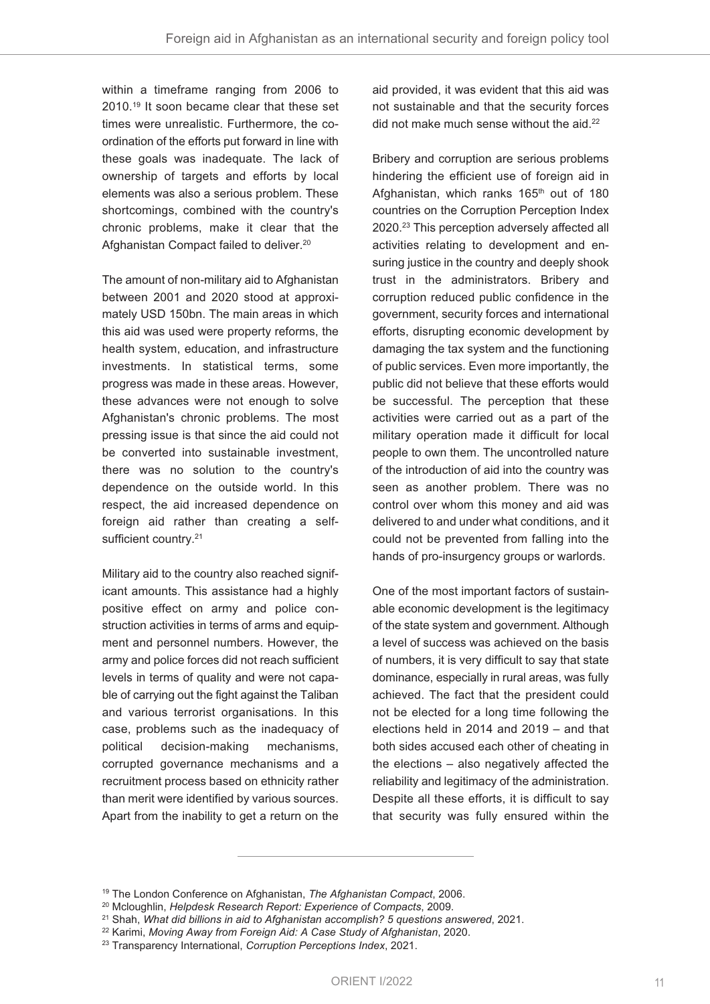within a timeframe ranging from 2006 to 2010. <sup>19</sup> It soon became clear that these set times were unrealistic. Furthermore, the coordination of the efforts put forward in line with these goals was inadequate. The lack of ownership of targets and efforts by local elements was also a serious problem. These shortcomings, combined with the country's chronic problems, make it clear that the Afghanistan Compact failed to deliver. 20

The amount of non-military aid to Afghanistan between 2001 and 2020 stood at approximately USD 150bn. The main areas in which this aid was used were property reforms, the health system, education, and infrastructure investments. In statistical terms, some progress was made in these areas. However, these advances were not enough to solve Afghanistan's chronic problems. The most pressing issue is that since the aid could not be converted into sustainable investment, there was no solution to the country's dependence on the outside world. In this respect, the aid increased dependence on foreign aid rather than creating a selfsufficient country.<sup>21</sup>

Military aid to the country also reached significant amounts. This assistance had a highly positive effect on army and police construction activities in terms of arms and equipment and personnel numbers. However, the army and police forces did not reach sufficient levels in terms of quality and were not capable of carrying out the fight against the Taliban and various terrorist organisations. In this case, problems such as the inadequacy of political decision-making mechanisms, corrupted governance mechanisms and a recruitment process based on ethnicity rather than merit were identified by various sources. Apart from the inability to get a return on the

aid provided, it was evident that this aid was not sustainable and that the security forces did not make much sense without the aid.<sup>22</sup>

Bribery and corruption are serious problems hindering the efficient use of foreign aid in Afghanistan, which ranks 165<sup>th</sup> out of 180 countries on the Corruption Perception Index 2020. <sup>23</sup> This perception adversely affected all activities relating to development and ensuring justice in the country and deeply shook trust in the administrators. Bribery and corruption reduced public confidence in the government, security forces and international efforts, disrupting economic development by damaging the tax system and the functioning of public services. Even more importantly, the public did not believe that these efforts would be successful. The perception that these activities were carried out as a part of the military operation made it difficult for local people to own them. The uncontrolled nature of the introduction of aid into the country was seen as another problem. There was no control over whom this money and aid was delivered to and under what conditions, and it could not be prevented from falling into the hands of pro-insurgency groups or warlords.

One of the most important factors of sustainable economic development is the legitimacy of the state system and government. Although a level of success was achieved on the basis of numbers, it is very difficult to say that state dominance, especially in rural areas, was fully achieved. The fact that the president could not be elected for a long time following the elections held in 2014 and 2019 – and that both sides accused each other of cheating in the elections – also negatively affected the reliability and legitimacy of the administration. Despite all these efforts, it is difficult to say that security was fully ensured within the

<sup>19</sup> The London Conference on Afghanistan, *The Afghanistan Compact*, 2006.

<sup>20</sup> Mcloughlin, *Helpdesk Research Report: Experience of Compacts*, 2009.

<sup>21</sup> Shah, *What did billions in aid to Afghanistan accomplish? 5 questions answered*, 2021.

<sup>22</sup> Karimi, *Moving Away from Foreign Aid: A Case Study of Afghanistan*, 2020.

<sup>23</sup> Transparency International, *Corruption Perceptions Index*, 2021.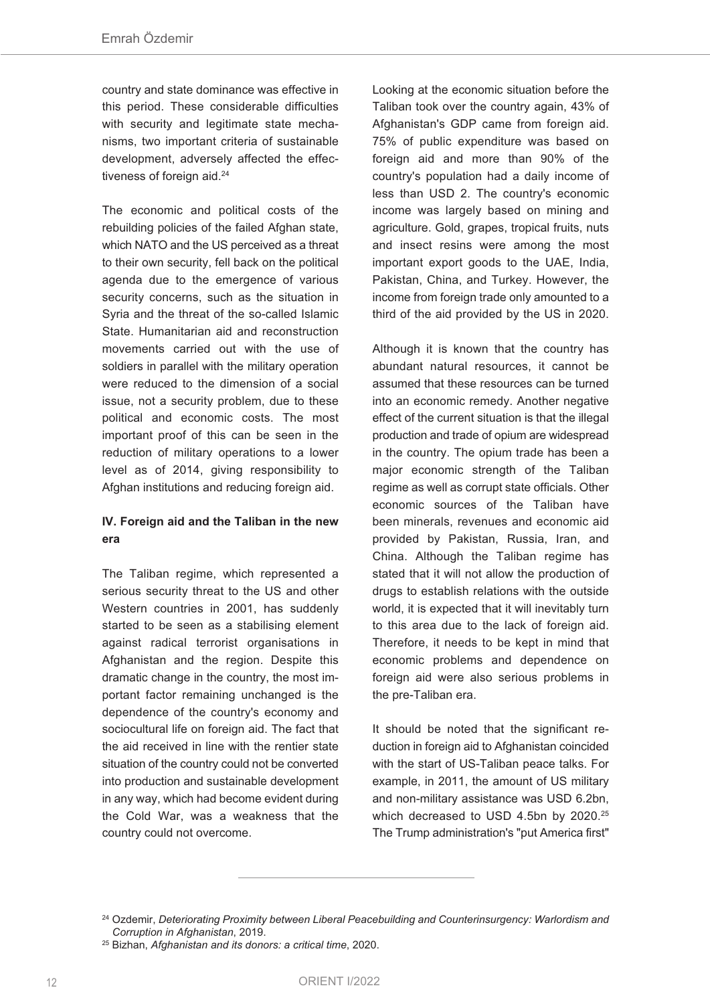country and state dominance was effective in this period. These considerable difficulties with security and legitimate state mechanisms, two important criteria of sustainable development, adversely affected the effectiveness of foreign aid. 24

The economic and political costs of the rebuilding policies of the failed Afghan state, which NATO and the US perceived as a threat to their own security, fell back on the political agenda due to the emergence of various security concerns, such as the situation in Syria and the threat of the so-called Islamic State. Humanitarian aid and reconstruction movements carried out with the use of soldiers in parallel with the military operation were reduced to the dimension of a social issue, not a security problem, due to these political and economic costs. The most important proof of this can be seen in the reduction of military operations to a lower level as of 2014, giving responsibility to Afghan institutions and reducing foreign aid.

## **IV. Foreign aid and the Taliban in the new era**

The Taliban regime, which represented a serious security threat to the US and other Western countries in 2001, has suddenly started to be seen as a stabilising element against radical terrorist organisations in Afghanistan and the region. Despite this dramatic change in the country, the most important factor remaining unchanged is the dependence of the country's economy and sociocultural life on foreign aid. The fact that the aid received in line with the rentier state situation of the country could not be converted into production and sustainable development in any way, which had become evident during the Cold War, was a weakness that the country could not overcome.

Looking at the economic situation before the Taliban took over the country again, 43% of Afghanistan's GDP came from foreign aid. 75% of public expenditure was based on foreign aid and more than 90% of the country's population had a daily income of less than USD 2. The country's economic income was largely based on mining and agriculture. Gold, grapes, tropical fruits, nuts and insect resins were among the most important export goods to the UAE, India, Pakistan, China, and Turkey. However, the income from foreign trade only amounted to a third of the aid provided by the US in 2020.

Although it is known that the country has abundant natural resources, it cannot be assumed that these resources can be turned into an economic remedy. Another negative effect of the current situation is that the illegal production and trade of opium are widespread in the country. The opium trade has been a major economic strength of the Taliban regime as well as corrupt state officials. Other economic sources of the Taliban have been minerals, revenues and economic aid provided by Pakistan, Russia, Iran, and China. Although the Taliban regime has stated that it will not allow the production of drugs to establish relations with the outside world, it is expected that it will inevitably turn to this area due to the lack of foreign aid. Therefore, it needs to be kept in mind that economic problems and dependence on foreign aid were also serious problems in the pre-Taliban era.

It should be noted that the significant reduction in foreign aid to Afghanistan coincided with the start of US-Taliban peace talks. For example, in 2011, the amount of US military and non-military assistance was USD 6.2bn, which decreased to USD 4.5bn by 2020. 25 The Trump administration's "put America first"

<sup>24</sup> Ozdemir, *Deteriorating Proximity between Liberal Peacebuilding and Counterinsurgency: Warlordism and Corruption in Afghanistan*, 2019.

<sup>25</sup> Bizhan, *Afghanistan and its donors: a critical time*, 2020.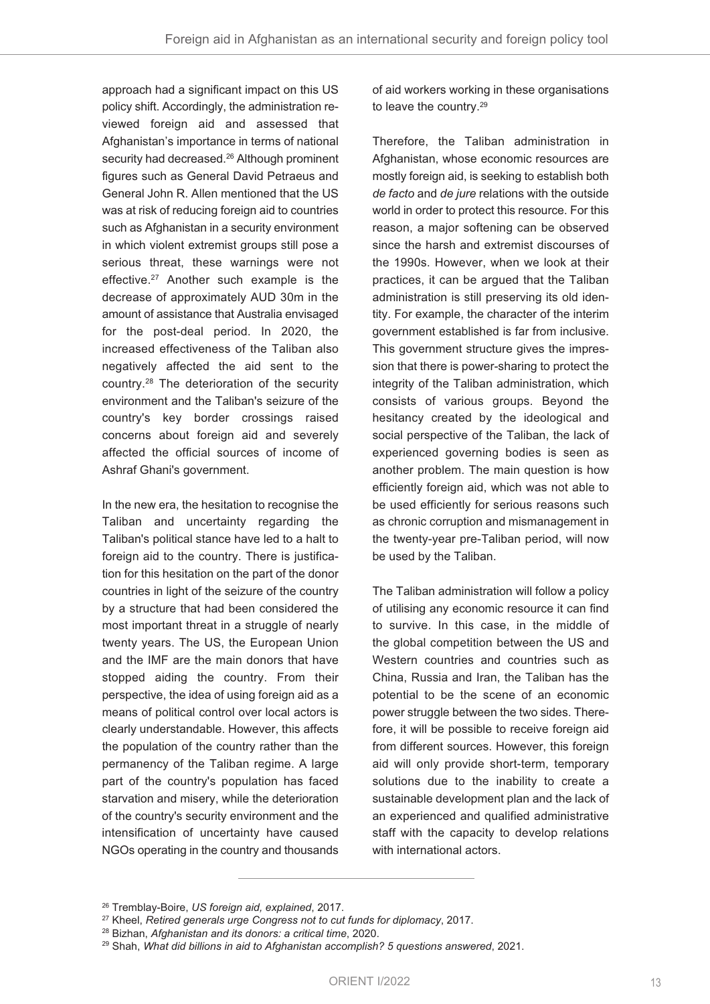approach had a significant impact on this US policy shift. Accordingly, the administration reviewed foreign aid and assessed that Afghanistan's importance in terms of national security had decreased. <sup>26</sup> Although prominent figures such as General David Petraeus and General John R. Allen mentioned that the US was at risk of reducing foreign aid to countries such as Afghanistan in a security environment in which violent extremist groups still pose a serious threat, these warnings were not effective. <sup>27</sup> Another such example is the decrease of approximately AUD 30m in the amount of assistance that Australia envisaged for the post-deal period. In 2020, the increased effectiveness of the Taliban also negatively affected the aid sent to the country. <sup>28</sup> The deterioration of the security environment and the Taliban's seizure of the country's key border crossings raised concerns about foreign aid and severely affected the official sources of income of Ashraf Ghani's government.

In the new era, the hesitation to recognise the Taliban and uncertainty regarding the Taliban's political stance have led to a halt to foreign aid to the country. There is justification for this hesitation on the part of the donor countries in light of the seizure of the country by a structure that had been considered the most important threat in a struggle of nearly twenty years. The US, the European Union and the IMF are the main donors that have stopped aiding the country. From their perspective, the idea of using foreign aid as a means of political control over local actors is clearly understandable. However, this affects the population of the country rather than the permanency of the Taliban regime. A large part of the country's population has faced starvation and misery, while the deterioration of the country's security environment and the intensification of uncertainty have caused NGOs operating in the country and thousands

of aid workers working in these organisations to leave the country. 29

Therefore, the Taliban administration in Afghanistan, whose economic resources are mostly foreign aid, is seeking to establish both *de facto* and *de jure* relations with the outside world in order to protect this resource. For this reason, a major softening can be observed since the harsh and extremist discourses of the 1990s. However, when we look at their practices, it can be argued that the Taliban administration is still preserving its old identity. For example, the character of the interim government established is far from inclusive. This government structure gives the impression that there is power-sharing to protect the integrity of the Taliban administration, which consists of various groups. Beyond the hesitancy created by the ideological and social perspective of the Taliban, the lack of experienced governing bodies is seen as another problem. The main question is how efficiently foreign aid, which was not able to be used efficiently for serious reasons such as chronic corruption and mismanagement in the twenty-year pre-Taliban period, will now be used by the Taliban.

The Taliban administration will follow a policy of utilising any economic resource it can find to survive. In this case, in the middle of the global competition between the US and Western countries and countries such as China, Russia and Iran, the Taliban has the potential to be the scene of an economic power struggle between the two sides. Therefore, it will be possible to receive foreign aid from different sources. However, this foreign aid will only provide short-term, temporary solutions due to the inability to create a sustainable development plan and the lack of an experienced and qualified administrative staff with the capacity to develop relations with international actors.

<sup>26</sup> Tremblay-Boire, *US foreign aid, explained*, 2017.

<sup>27</sup> Kheel, *Retired generals urge Congress not to cut funds for diplomacy*, 2017.

<sup>28</sup> Bizhan, *Afghanistan and its donors: a critical time*, 2020.

<sup>29</sup> Shah, *What did billions in aid to Afghanistan accomplish? 5 questions answered*, 2021.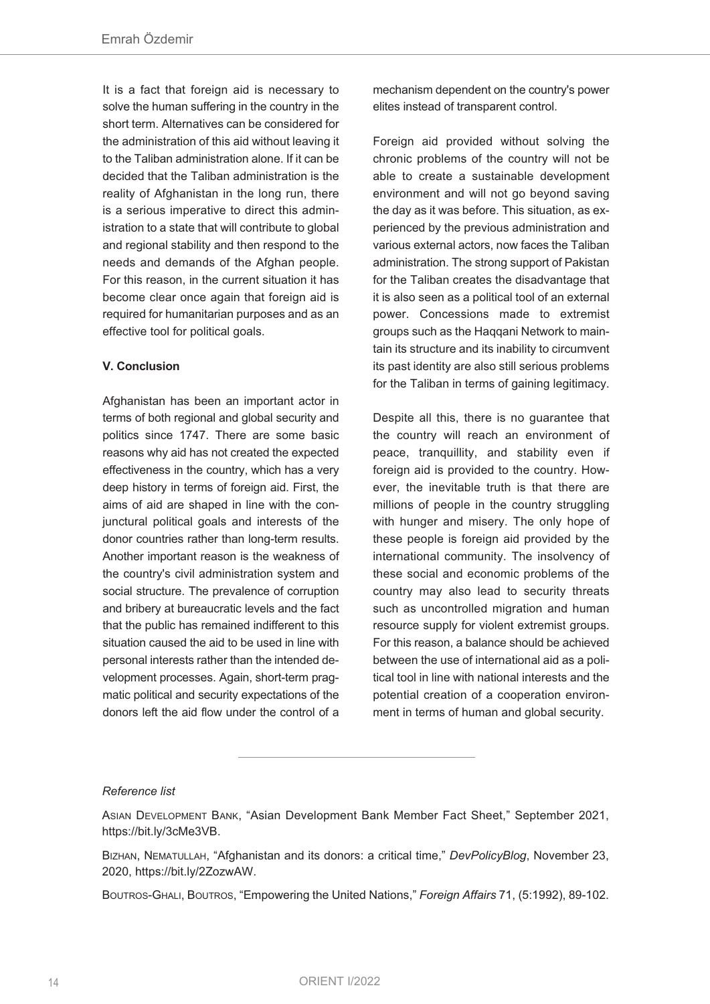It is a fact that foreign aid is necessary to solve the human suffering in the country in the short term. Alternatives can be considered for the administration of this aid without leaving it to the Taliban administration alone. If it can be decided that the Taliban administration is the reality of Afghanistan in the long run, there is a serious imperative to direct this administration to a state that will contribute to global and regional stability and then respond to the needs and demands of the Afghan people. For this reason, in the current situation it has become clear once again that foreign aid is required for humanitarian purposes and as an effective tool for political goals.

#### **V. Conclusion**

Afghanistan has been an important actor in terms of both regional and global security and politics since 1747. There are some basic reasons why aid has not created the expected effectiveness in the country, which has a very deep history in terms of foreign aid. First, the aims of aid are shaped in line with the conjunctural political goals and interests of the donor countries rather than long-term results. Another important reason is the weakness of the country's civil administration system and social structure. The prevalence of corruption and bribery at bureaucratic levels and the fact that the public has remained indifferent to this situation caused the aid to be used in line with personal interests rather than the intended development processes. Again, short-term pragmatic political and security expectations of the donors left the aid flow under the control of a

mechanism dependent on the country's power elites instead of transparent control.

Foreign aid provided without solving the chronic problems of the country will not be able to create a sustainable development environment and will not go beyond saving the day as it was before. This situation, as experienced by the previous administration and various external actors, now faces the Taliban administration. The strong support of Pakistan for the Taliban creates the disadvantage that it is also seen as a political tool of an external power. Concessions made to extremist groups such as the Haqqani Network to maintain its structure and its inability to circumvent its past identity are also still serious problems for the Taliban in terms of gaining legitimacy.

Despite all this, there is no guarantee that the country will reach an environment of peace, tranquillity, and stability even if foreign aid is provided to the country. However, the inevitable truth is that there are millions of people in the country struggling with hunger and misery. The only hope of these people is foreign aid provided by the international community. The insolvency of these social and economic problems of the country may also lead to security threats such as uncontrolled migration and human resource supply for violent extremist groups. For this reason, a balance should be achieved between the use of international aid as a political tool in line with national interests and the potential creation of a cooperation environment in terms of human and global security.

#### *Reference list*

ASIAN DEVELOPMENT BANK, "Asian Development Bank Member Fact Sheet," September 2021, https://bit.ly/3cMe3VB.

BIZHAN, NEMATULLAH, "Afghanistan and its donors: a critical time," *DevPolicyBlog*, November 23, 2020, https://bit.ly/2ZozwAW.

BOUTROS-GHALI, BOUTROS, "Empowering the United Nations," *Foreign Affairs* 71, (5:1992), 89-102.